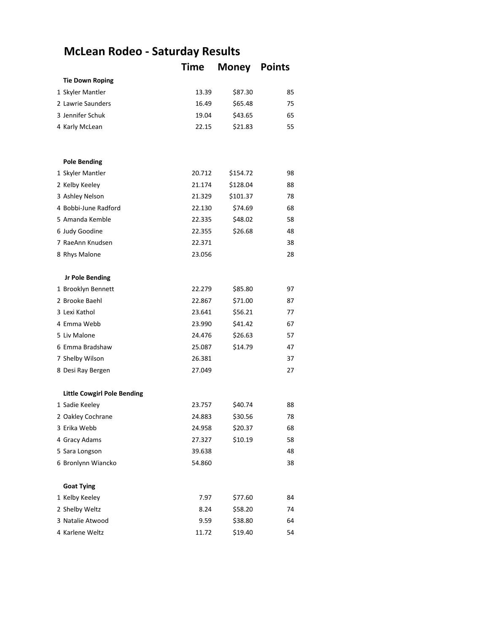## **McLean Rodeo - Saturday Results**

|                                    | Time   | <b>Money</b> | <b>Points</b> |
|------------------------------------|--------|--------------|---------------|
| <b>Tie Down Roping</b>             |        |              |               |
| 1 Skyler Mantler                   | 13.39  | \$87.30      | 85            |
| 2 Lawrie Saunders                  | 16.49  | \$65.48      | 75            |
| 3 Jennifer Schuk                   | 19.04  | \$43.65      | 65            |
| 4 Karly McLean                     | 22.15  | \$21.83      | 55            |
|                                    |        |              |               |
| <b>Pole Bending</b>                |        |              |               |
| 1 Skyler Mantler                   | 20.712 | \$154.72     | 98            |
| 2 Kelby Keeley                     | 21.174 | \$128.04     | 88            |
| 3 Ashley Nelson                    | 21.329 | \$101.37     | 78            |
| 4 Bobbi-June Radford               | 22.130 | \$74.69      | 68            |
| 5 Amanda Kemble                    | 22.335 | \$48.02      | 58            |
| 6 Judy Goodine                     | 22.355 | \$26.68      | 48            |
| 7 RaeAnn Knudsen                   | 22.371 |              | 38            |
| 8 Rhys Malone                      | 23.056 |              | 28            |
| Jr Pole Bending                    |        |              |               |
| 1 Brooklyn Bennett                 | 22.279 | \$85.80      | 97            |
| 2 Brooke Baehl                     | 22.867 | \$71.00      | 87            |
| 3 Lexi Kathol                      | 23.641 | \$56.21      | 77            |
| 4 Emma Webb                        | 23.990 | \$41.42      | 67            |
| 5 Liv Malone                       | 24.476 | \$26.63      | 57            |
| 6 Emma Bradshaw                    | 25.087 | \$14.79      | 47            |
| 7 Shelby Wilson                    | 26.381 |              | 37            |
| 8 Desi Ray Bergen                  | 27.049 |              | 27            |
| <b>Little Cowgirl Pole Bending</b> |        |              |               |
| 1 Sadie Keeley                     | 23.757 | \$40.74      | 88            |
| 2 Oakley Cochrane                  | 24.883 | \$30.56      | 78            |
| 3 Erika Webb                       | 24.958 | \$20.37      | 68            |
| 4 Gracy Adams                      | 27.327 | \$10.19      | 58            |
| 5 Sara Longson                     | 39.638 |              | 48            |
| 6 Bronlynn Wiancko                 | 54.860 |              | 38            |
| <b>Goat Tying</b>                  |        |              |               |
| 1 Kelby Keeley                     | 7.97   | \$77.60      | 84            |
| 2 Shelby Weltz                     | 8.24   | \$58.20      | 74            |
| 3 Natalie Atwood                   | 9.59   | \$38.80      | 64            |
| 4 Karlene Weltz                    | 11.72  | \$19.40      | 54            |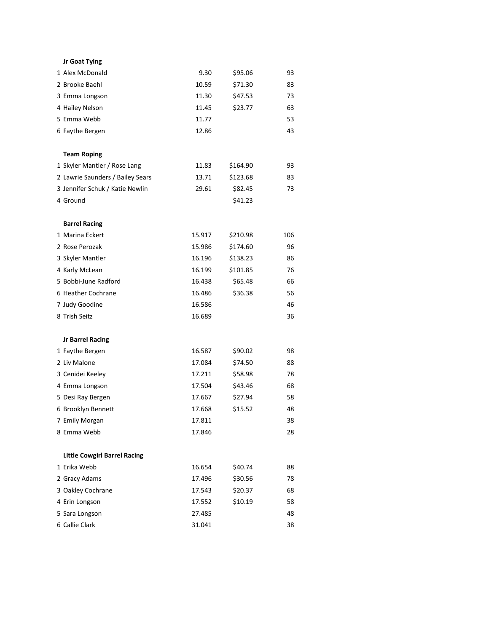| Jr Goat Tying                       |        |          |     |
|-------------------------------------|--------|----------|-----|
| 1 Alex McDonald                     | 9.30   | \$95.06  | 93  |
| 2 Brooke Baehl                      | 10.59  | \$71.30  | 83  |
| 3 Emma Longson                      | 11.30  | \$47.53  | 73  |
| 4 Hailey Nelson                     | 11.45  | \$23.77  | 63  |
| 5 Emma Webb                         | 11.77  |          | 53  |
| 6 Faythe Bergen                     | 12.86  |          | 43  |
| <b>Team Roping</b>                  |        |          |     |
| 1 Skyler Mantler / Rose Lang        | 11.83  | \$164.90 | 93  |
| 2 Lawrie Saunders / Bailey Sears    | 13.71  | \$123.68 | 83  |
| 3 Jennifer Schuk / Katie Newlin     | 29.61  | \$82.45  | 73  |
| 4 Ground                            |        | \$41.23  |     |
| <b>Barrel Racing</b>                |        |          |     |
| 1 Marina Eckert                     | 15.917 | \$210.98 | 106 |
| 2 Rose Perozak                      | 15.986 | \$174.60 | 96  |
| 3 Skyler Mantler                    | 16.196 | \$138.23 | 86  |
| 4 Karly McLean                      | 16.199 | \$101.85 | 76  |
| 5 Bobbi-June Radford                | 16.438 | \$65.48  | 66  |
| 6 Heather Cochrane                  | 16.486 | \$36.38  | 56  |
| 7 Judy Goodine                      | 16.586 |          | 46  |
| 8 Trish Seitz                       | 16.689 |          | 36  |
| <b>Jr Barrel Racing</b>             |        |          |     |
| 1 Faythe Bergen                     | 16.587 | \$90.02  | 98  |
| 2 Liv Malone                        | 17.084 | \$74.50  | 88  |
| 3 Cenidei Keeley                    | 17.211 | \$58.98  | 78  |
| 4 Emma Longson                      | 17.504 | \$43.46  | 68  |
| 5 Desi Ray Bergen                   | 17.667 | \$27.94  | 58  |
| 6 Brooklyn Bennett                  | 17.668 | \$15.52  | 48  |
| 7 Emily Morgan                      | 17.811 |          | 38  |
| 8 Emma Webb                         | 17.846 |          | 28  |
| <b>Little Cowgirl Barrel Racing</b> |        |          |     |
| 1 Erika Webb                        | 16.654 | \$40.74  | 88  |
| 2 Gracy Adams                       | 17.496 | \$30.56  | 78  |
| 3 Oakley Cochrane                   | 17.543 | \$20.37  | 68  |
| 4 Erin Longson                      | 17.552 | \$10.19  | 58  |
| 5 Sara Longson                      | 27.485 |          | 48  |
| 6 Callie Clark                      | 31.041 |          | 38  |